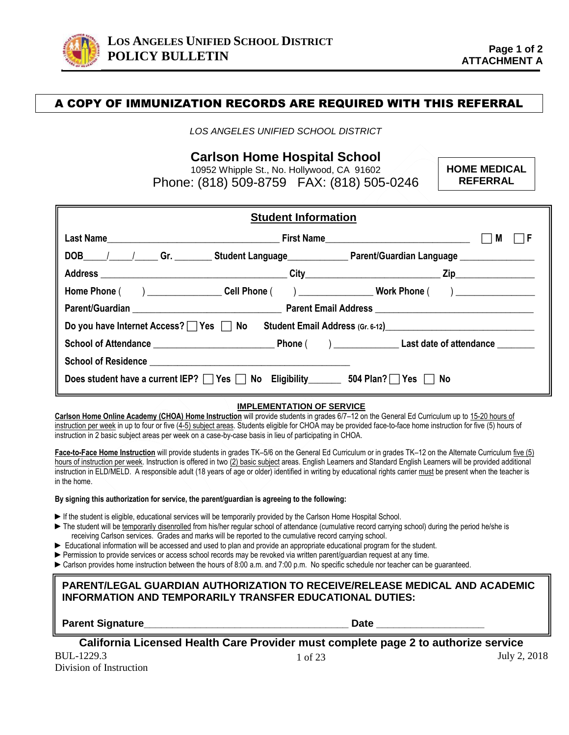

# A COPY OF IMMUNIZATION RECORDS ARE REQUIRED WITH THIS REFERRAL

*LOS ANGELES UNIFIED SCHOOL DISTRICT*

**Carlson Home Hospital School** 

10952 Whipple St., No. Hollywood, CA 91602 Phone: (818) 509-8759 FAX: (818) 505-0246 **HOME MEDICAL REFERRAL**

| <b>Student Information</b>                                                                                     |  |                                                                                                                |  |  |
|----------------------------------------------------------------------------------------------------------------|--|----------------------------------------------------------------------------------------------------------------|--|--|
|                                                                                                                |  | M                                                                                                              |  |  |
|                                                                                                                |  | DOB_____/______/______Gr. ___________Student Language_________________Parent/Guardian Language _______________ |  |  |
|                                                                                                                |  |                                                                                                                |  |  |
| Home Phone ( ) _____________________Cell Phone ( ) ______________________________ Work Phone ( ) _____________ |  |                                                                                                                |  |  |
|                                                                                                                |  |                                                                                                                |  |  |
| Do you have Internet Access? $\Box$ Yes $\Box$ No Student Email Address (Gr. 6-12)                             |  |                                                                                                                |  |  |
|                                                                                                                |  |                                                                                                                |  |  |
|                                                                                                                |  |                                                                                                                |  |  |
| Does student have a current IEP? $\Box$ Yes $\Box$ No Eligibility 504 Plan? $\Box$ Yes $\Box$ No               |  |                                                                                                                |  |  |

#### **IMPLEMENTATION OF SERVICE**

**Carlson Home Online Academy (CHOA) Home Instruction** will provide students in grades 6/7–12 on the General Ed Curriculum up to 15-20 hours of instruction per week in up to four or five (4-5) subject areas. Students eligible for CHOA may be provided face-to-face home instruction for five (5) hours of instruction in 2 basic subject areas per week on a case-by-case basis in lieu of participating in CHOA.

**Face-to-Face Home Instruction** will provide students in grades TK–5/6 on the General Ed Curriculum or in grades TK–12 on the Alternate Curriculum five (5) hours of instruction per week. Instruction is offered in two (2) basic subject areas. English Learners and Standard English Learners will be provided additional instruction in ELD/MELD. A responsible adult (18 years of age or older) identified in writing by educational rights carrier must be present when the teacher is in the home.

#### **By signing this authorization for service, the parent/guardian is agreeing to the following:**

- ► If the student is eligible, educational services will be temporarily provided by the Carlson Home Hospital School.
- ► The student will be temporarily disenrolled from his/her regular school of attendance (cumulative record carrying school) during the period he/she is receiving Carlson services. Grades and marks will be reported to the cumulative record carrying school.
- ► Educational information will be accessed and used to plan and provide an appropriate educational program for the student.
- ► Permission to provide services or access school records may be revoked via written parent/guardian request at any time.
- ► Carlson provides home instruction between the hours of 8:00 a.m. and 7:00 p.m. No specific schedule nor teacher can be guaranteed.

#### **PARENT/LEGAL GUARDIAN AUTHORIZATION TO RECEIVE/RELEASE MEDICAL AND ACADEMIC INFORMATION AND TEMPORARILY TRANSFER EDUCATIONAL DUTIES:**

**Parent Signature\_\_\_\_\_\_\_\_\_\_\_\_\_\_\_\_\_\_\_\_\_\_\_\_\_\_\_\_\_\_\_\_\_\_\_\_ Date \_\_\_\_\_\_\_\_\_\_\_\_\_\_\_\_\_\_\_**

**California Licensed Health Care Provider must complete page 2 to authorize service**

BUL-1229.3 July 2, 2018 Division of Instruction

1 of 23